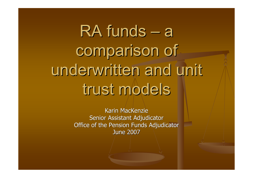RA funds · — a comparison of underwritten and unit trust models

> Karin MacKenzie Senior Assistant Adjudicator Office of the Pension Funds Adjudicator June 2007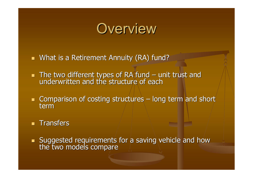

- What is a Retirement Annuity (RA) fund?
- $\mathbf{r}$ The two different types of RA fund – unit trust and<br>underwritten and the structure of each
- $\blacksquare$  Comparison of costing structures long term and short term
- **Transfers**
- $\mathbb{R}^2$ **Suggested requirements for a saving vehicle and how the two models compare**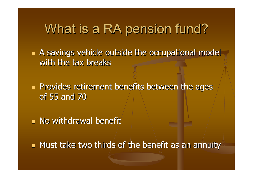### What is a RA pension fund?

 $\blacksquare$  A savings vehicle outside the occupational model with the tax breaks

r. **Provides retirement benefits between the ages Provides retirement benefits between the ages** of 55 and 70

 $\blacksquare$  No withdrawal benefit

 $\blacksquare$  Must take two thirds of the benefit as an annuity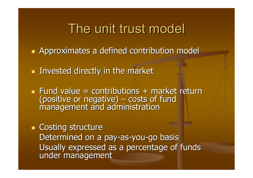### The unit trust model

r. **Approximates a defined contribution model** 

**Invested directly in the market** 

 $\blacksquare$  Fund value = contributions + market return (positive or negative)  $\cdot$  $\mathcal{L}_{\mathcal{A}}$  , where  $\mathcal{L}_{\mathcal{A}}$  is the set of the set of the set of the set of the set of the set of the set of the set of the set of the set of the set of the set of the set of the set of the set of the set of the  $-\prime$ costs of fund management and administration

e.  $\blacksquare$  Costing structure Determined on a pay-as-you-go basis Usually expressed as a percentage of funds under management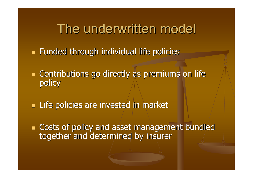The underwritten model

**Funded through individual life policies** 

 $\blacksquare$  Contributions go directly as premiums on life policy

**Exagge Life policies are invested in market** 

**Costs of policy and asset management bundled** together and determined by insurer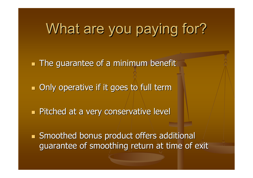# What are you paying for?

 $\blacksquare$  The guarantee of a minimum benefit

 $\blacksquare$  Only operative if it goes to full term

r. **Pitched at a very conservative level** 

**Smoothed bonus product offers additional** guarantee of smoothing return at time of exit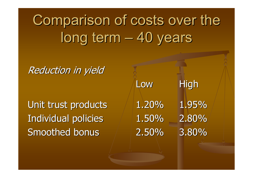Comparison of costs over the long term **l** – 40 years

**Reduction in yield** 

Unit trust products  $1.20\%$  1.95% Individual policies  $1.50\%$  2.80% Smoothed bonus 2.50% 3.80%

Low

High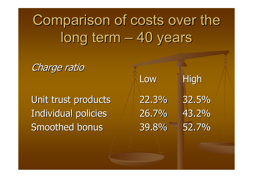Comparison of costs over the long term **l** – 40 years

Charge ratio

Unit trust products 22.3% 32.5% Individual policies 126.7% 43.2% Smoothed bonus  $\sim$  39.8% 52.7%

LowHigh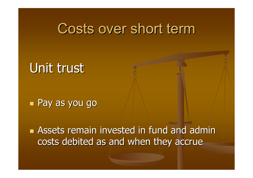### Costs over short term

## Unit trust

#### e<br>Maria **Pay as you go**

**Assets remain invested in fund and admin** costs debited as and when they accrue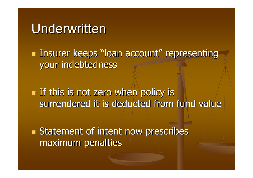### Underwritten

**Co Insurer keeps "loan account" representing** your indebtedness

**Co**  $\blacksquare$  If this is not zero when policy is  $\blacksquare$ surrendered it is deducted from fund value

and and the second second second second second second second second second second second second second second second second second second second second second second second second second second second second second second **Statement of intent now prescribes** maximum penalties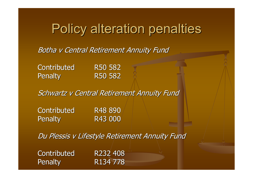## Policy alteration penalties

Botha v Central Retirement Annuity Fund

Contributed Penalty R50 582

R50 582

Schwartz v Central Retirement Annuity Fund

Contributed R48 890 Penalty R43 000

Du Plessis v Lifestyle Retirement Annuity Fund

Contributed Penalty R134 778

R232 408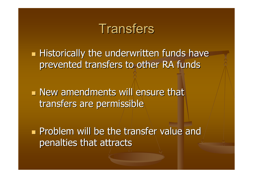### Transfers

**Co Historically the underwritten funds have** prevented transfers to other RA funds

 $\blacksquare$  New amendments will ensure that transfers are permissible

**Problem will be the transfer value and** penalties that attracts